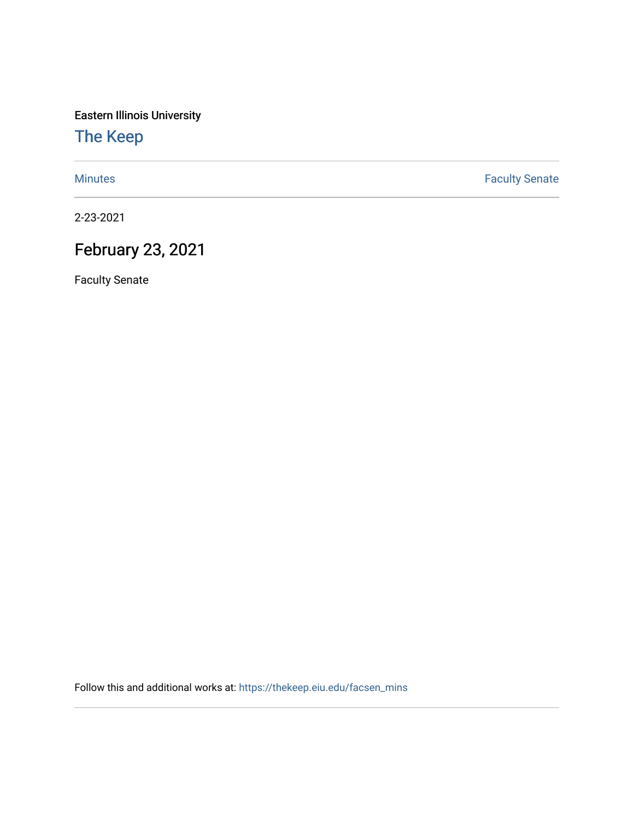Eastern Illinois University

[The Keep](https://thekeep.eiu.edu/) 

[Minutes](https://thekeep.eiu.edu/facsen_mins) **Faculty Senate** 

2-23-2021

## February 23, 2021

Faculty Senate

Follow this and additional works at: [https://thekeep.eiu.edu/facsen\\_mins](https://thekeep.eiu.edu/facsen_mins?utm_source=thekeep.eiu.edu%2Ffacsen_mins%2F1147&utm_medium=PDF&utm_campaign=PDFCoverPages)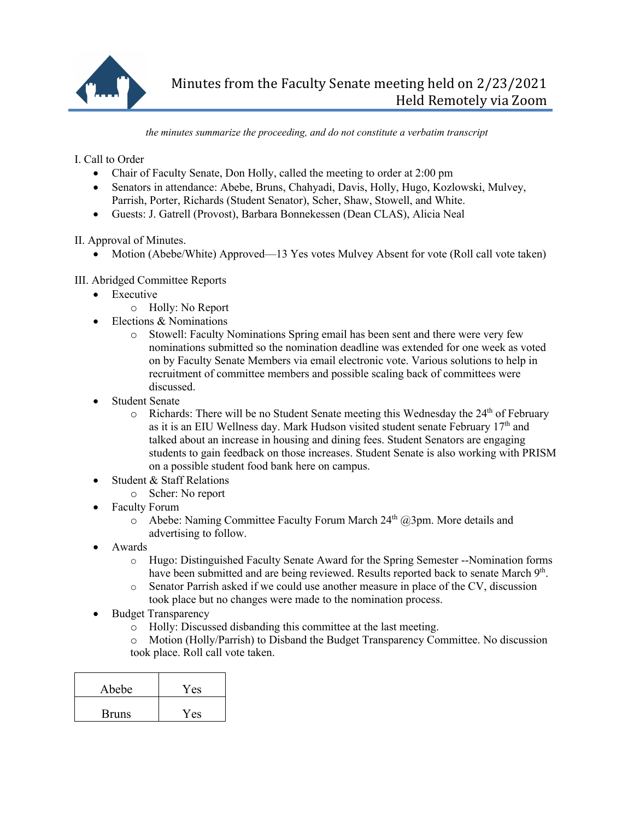

*the minutes summarize the proceeding, and do not constitute a verbatim transcript*

I. Call to Order

- Chair of Faculty Senate, Don Holly, called the meeting to order at 2:00 pm
- Senators in attendance: Abebe, Bruns, Chahyadi, Davis, Holly, Hugo, Kozlowski, Mulvey, Parrish, Porter, Richards (Student Senator), Scher, Shaw, Stowell, and White.
- Guests: J. Gatrell (Provost), Barbara Bonnekessen (Dean CLAS), Alicia Neal

II. Approval of Minutes.

• Motion (Abebe/White) Approved—13 Yes votes Mulvey Absent for vote (Roll call vote taken)

III. Abridged Committee Reports

- Executive
	- o Holly: No Report
	- Elections & Nominations
		- o Stowell: Faculty Nominations Spring email has been sent and there were very few nominations submitted so the nomination deadline was extended for one week as voted on by Faculty Senate Members via email electronic vote. Various solutions to help in recruitment of committee members and possible scaling back of committees were discussed.
- **Student Senate** 
	- $\circ$  Richards: There will be no Student Senate meeting this Wednesday the 24<sup>th</sup> of February as it is an EIU Wellness day. Mark Hudson visited student senate February  $17<sup>th</sup>$  and talked about an increase in housing and dining fees. Student Senators are engaging students to gain feedback on those increases. Student Senate is also working with PRISM on a possible student food bank here on campus.
- Student & Staff Relations
	- o Scher: No report
- Faculty Forum
	- $\circ$  Abebe: Naming Committee Faculty Forum March 24<sup>th</sup> @3pm. More details and advertising to follow.
- Awards
	- o Hugo: Distinguished Faculty Senate Award for the Spring Semester --Nomination forms have been submitted and are being reviewed. Results reported back to senate March 9<sup>th</sup>.
	- o Senator Parrish asked if we could use another measure in place of the CV, discussion took place but no changes were made to the nomination process.
- Budget Transparency
	- o Holly: Discussed disbanding this committee at the last meeting.
	- o Motion (Holly/Parrish) to Disband the Budget Transparency Committee. No discussion took place. Roll call vote taken.

| Abebe        | Yes |
|--------------|-----|
| <b>Bruns</b> | Yes |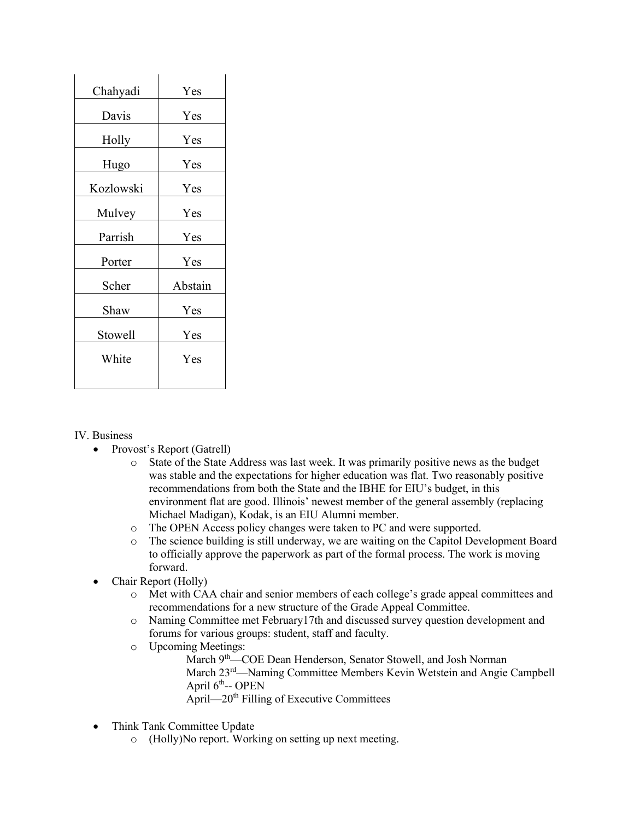| Chahyadi  | Yes     |
|-----------|---------|
| Davis     | Yes     |
| Holly     | Yes     |
| Hugo      | Yes     |
| Kozlowski | Yes     |
| Mulvey    | Yes     |
| Parrish   | Yes     |
| Porter    | Yes     |
| Scher     | Abstain |
| Shaw      | Yes     |
| Stowell   | Yes     |
| White     | Yes     |
|           |         |

IV. Business

- Provost's Report (Gatrell)
	- o State of the State Address was last week. It was primarily positive news as the budget was stable and the expectations for higher education was flat. Two reasonably positive recommendations from both the State and the IBHE for EIU's budget, in this environment flat are good. Illinois' newest member of the general assembly (replacing Michael Madigan), Kodak, is an EIU Alumni member.
	- o The OPEN Access policy changes were taken to PC and were supported.
	- o The science building is still underway, we are waiting on the Capitol Development Board to officially approve the paperwork as part of the formal process. The work is moving forward.
- Chair Report (Holly)
	- o Met with CAA chair and senior members of each college's grade appeal committees and recommendations for a new structure of the Grade Appeal Committee.
	- o Naming Committee met February17th and discussed survey question development and forums for various groups: student, staff and faculty.
	- o Upcoming Meetings:

March 9<sup>th</sup>—COE Dean Henderson, Senator Stowell, and Josh Norman March 23rd—Naming Committee Members Kevin Wetstein and Angie Campbell April  $6<sup>th</sup>$ -- OPEN April—20th Filling of Executive Committees

- Think Tank Committee Update
	- o (Holly)No report. Working on setting up next meeting.